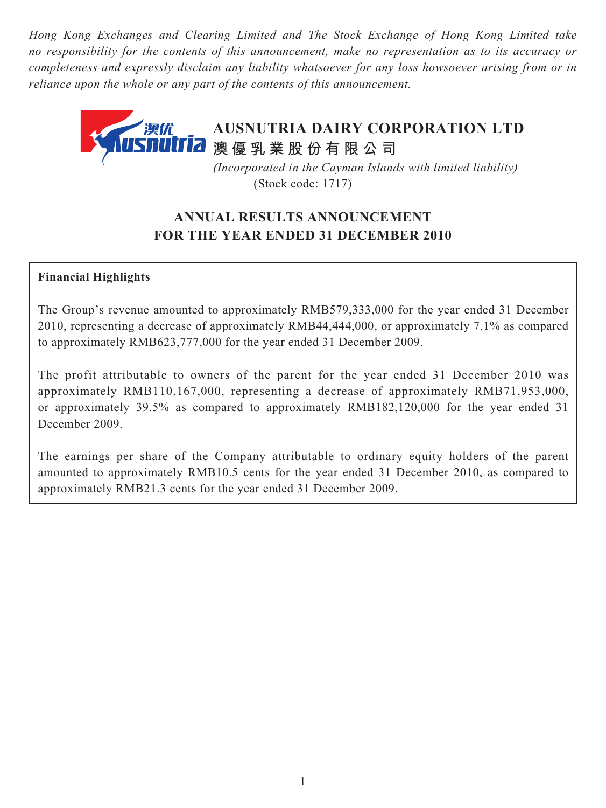*Hong Kong Exchanges and Clearing Limited and The Stock Exchange of Hong Kong Limited take no responsibility for the contents of this announcement, make no representation as to its accuracy or completeness and expressly disclaim any liability whatsoever for any loss howsoever arising from or in reliance upon the whole or any part of the contents of this announcement.*

# **AUSNUTRIA DAIRY CORPORATION LTD 澳優乳業股份有限公司**

 *(Incorporated in the Cayman Islands with limited liability)* (Stock code: 1717)

## **ANNUAL RESULTS ANNOUNCEMENT FOR THE YEAR ENDED 31 DECEMBER 2010**

### **Financial Highlights**

The Group's revenue amounted to approximately RMB579,333,000 for the year ended 31 December 2010, representing a decrease of approximately RMB44,444,000, or approximately 7.1% as compared to approximately RMB623,777,000 for the year ended 31 December 2009.

The profit attributable to owners of the parent for the year ended 31 December 2010 was approximately RMB110,167,000, representing a decrease of approximately RMB71,953,000, or approximately 39.5% as compared to approximately RMB182,120,000 for the year ended 31 December 2009.

The earnings per share of the Company attributable to ordinary equity holders of the parent amounted to approximately RMB10.5 cents for the year ended 31 December 2010, as compared to approximately RMB21.3 cents for the year ended 31 December 2009.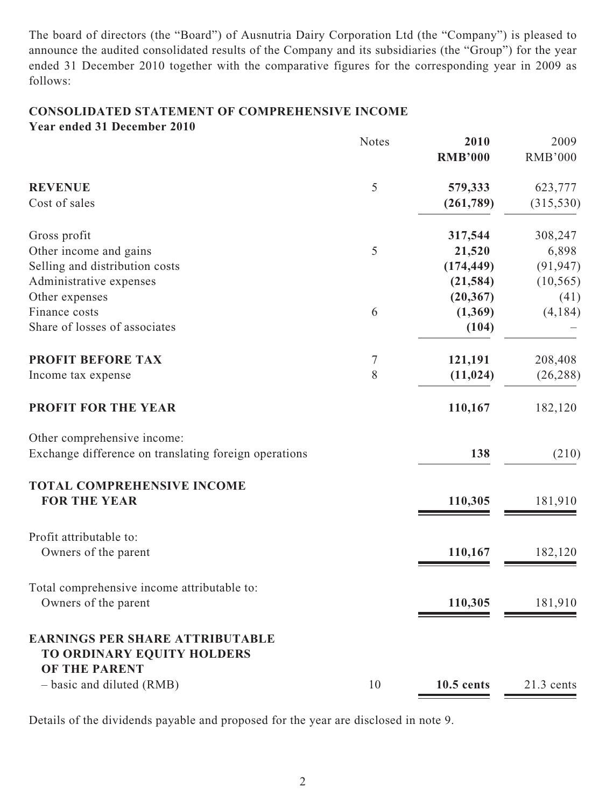The board of directors (the "Board") of Ausnutria Dairy Corporation Ltd (the "Company") is pleased to announce the audited consolidated results of the Company and its subsidiaries (the "Group") for the year ended 31 December 2010 together with the comparative figures for the corresponding year in 2009 as follows:

### **CONSOLIDATED STATEMENT OF COMPREHENSIVE INCOME Year ended 31 December 2010**

|                                                       | <b>Notes</b> | 2010<br><b>RMB'000</b> | 2009<br><b>RMB'000</b> |
|-------------------------------------------------------|--------------|------------------------|------------------------|
| <b>REVENUE</b>                                        | 5            | 579,333                | 623,777                |
| Cost of sales                                         |              | (261,789)              | (315, 530)             |
| Gross profit                                          |              | 317,544                | 308,247                |
| Other income and gains                                | 5            | 21,520                 | 6,898                  |
| Selling and distribution costs                        |              | (174, 449)             | (91, 947)              |
| Administrative expenses                               |              | (21, 584)              | (10, 565)              |
| Other expenses                                        |              | (20, 367)              | (41)                   |
| Finance costs                                         | 6            | (1,369)                | (4,184)                |
| Share of losses of associates                         |              | (104)                  |                        |
| <b>PROFIT BEFORE TAX</b>                              | 7            | 121,191                | 208,408                |
| Income tax expense                                    | 8            | (11, 024)              | (26, 288)              |
| <b>PROFIT FOR THE YEAR</b>                            |              | 110,167                | 182,120                |
| Other comprehensive income:                           |              |                        |                        |
| Exchange difference on translating foreign operations |              | 138                    | (210)                  |
| <b>TOTAL COMPREHENSIVE INCOME</b>                     |              |                        |                        |
| <b>FOR THE YEAR</b>                                   |              | 110,305                | 181,910                |
| Profit attributable to:                               |              |                        |                        |
| Owners of the parent                                  |              | 110,167                | 182,120                |
| Total comprehensive income attributable to:           |              |                        |                        |
| Owners of the parent                                  |              | 110,305                | 181,910                |
| <b>EARNINGS PER SHARE ATTRIBUTABLE</b>                |              |                        |                        |
| TO ORDINARY EQUITY HOLDERS<br><b>OF THE PARENT</b>    |              |                        |                        |
| - basic and diluted (RMB)                             | 10           | 10.5 cents             | $21.3$ cents           |

Details of the dividends payable and proposed for the year are disclosed in note 9.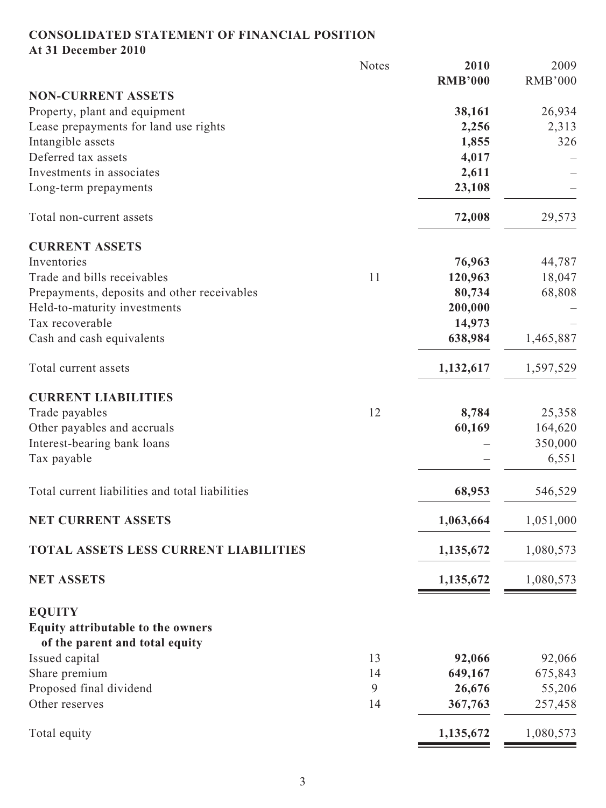# **CONSOLIDATED STATEMENT OF FINANCIAL POSITION**

**At 31 December 2010**

|                                                 | <b>Notes</b> | 2010           | 2009           |
|-------------------------------------------------|--------------|----------------|----------------|
|                                                 |              | <b>RMB'000</b> | <b>RMB'000</b> |
| <b>NON-CURRENT ASSETS</b>                       |              |                |                |
| Property, plant and equipment                   |              | 38,161         | 26,934         |
| Lease prepayments for land use rights           |              | 2,256          | 2,313          |
| Intangible assets                               |              | 1,855          | 326            |
| Deferred tax assets                             |              | 4,017          |                |
| Investments in associates                       |              | 2,611          |                |
| Long-term prepayments                           |              | 23,108         |                |
| Total non-current assets                        |              | 72,008         | 29,573         |
| <b>CURRENT ASSETS</b>                           |              |                |                |
| Inventories                                     |              | 76,963         | 44,787         |
| Trade and bills receivables                     | 11           | 120,963        | 18,047         |
| Prepayments, deposits and other receivables     |              | 80,734         | 68,808         |
| Held-to-maturity investments                    |              | 200,000        |                |
| Tax recoverable                                 |              | 14,973         |                |
| Cash and cash equivalents                       |              | 638,984        | 1,465,887      |
|                                                 |              |                |                |
| Total current assets                            |              | 1,132,617      | 1,597,529      |
| <b>CURRENT LIABILITIES</b>                      |              |                |                |
| Trade payables                                  | 12           | 8,784          | 25,358         |
| Other payables and accruals                     |              | 60,169         | 164,620        |
| Interest-bearing bank loans                     |              |                | 350,000        |
| Tax payable                                     |              |                | 6,551          |
| Total current liabilities and total liabilities |              | 68,953         | 546,529        |
| <b>NET CURRENT ASSETS</b>                       |              | 1,063,664      | 1,051,000      |
| TOTAL ASSETS LESS CURRENT LIABILITIES           |              | 1,135,672      | 1,080,573      |
| <b>NET ASSETS</b>                               |              | 1,135,672      | 1,080,573      |
| <b>EQUITY</b>                                   |              |                |                |
| Equity attributable to the owners               |              |                |                |
| of the parent and total equity                  |              |                |                |
| Issued capital                                  | 13           | 92,066         | 92,066         |
| Share premium                                   | 14           | 649,167        | 675,843        |
| Proposed final dividend                         | 9            | 26,676         | 55,206         |
| Other reserves                                  | 14           | 367,763        | 257,458        |
| Total equity                                    |              | 1,135,672      | 1,080,573      |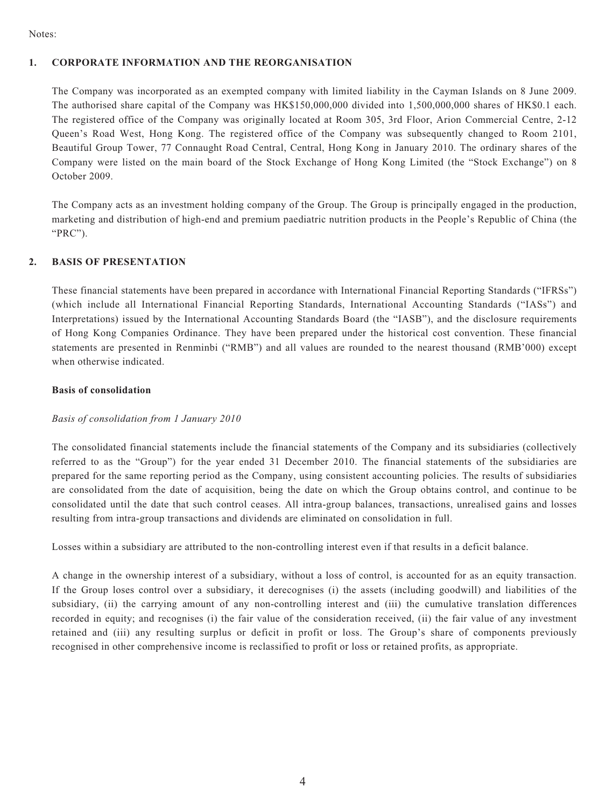Notes:

#### **1. CORPORATE INFORMATION AND THE REORGANISATION**

The Company was incorporated as an exempted company with limited liability in the Cayman Islands on 8 June 2009. The authorised share capital of the Company was HK\$150,000,000 divided into 1,500,000,000 shares of HK\$0.1 each. The registered office of the Company was originally located at Room 305, 3rd Floor, Arion Commercial Centre, 2-12 Queen's Road West, Hong Kong. The registered office of the Company was subsequently changed to Room 2101, Beautiful Group Tower, 77 Connaught Road Central, Central, Hong Kong in January 2010. The ordinary shares of the Company were listed on the main board of the Stock Exchange of Hong Kong Limited (the "Stock Exchange") on 8 October 2009.

The Company acts as an investment holding company of the Group. The Group is principally engaged in the production, marketing and distribution of high-end and premium paediatric nutrition products in the People's Republic of China (the "PRC").

#### **2. BASIS OF PRESENTATION**

These financial statements have been prepared in accordance with International Financial Reporting Standards ("IFRSs") (which include all International Financial Reporting Standards, International Accounting Standards ("IASs") and Interpretations) issued by the International Accounting Standards Board (the "IASB"), and the disclosure requirements of Hong Kong Companies Ordinance. They have been prepared under the historical cost convention. These financial statements are presented in Renminbi ("RMB") and all values are rounded to the nearest thousand (RMB'000) except when otherwise indicated.

#### **Basis of consolidation**

#### *Basis of consolidation from 1 January 2010*

The consolidated financial statements include the financial statements of the Company and its subsidiaries (collectively referred to as the "Group") for the year ended 31 December 2010. The financial statements of the subsidiaries are prepared for the same reporting period as the Company, using consistent accounting policies. The results of subsidiaries are consolidated from the date of acquisition, being the date on which the Group obtains control, and continue to be consolidated until the date that such control ceases. All intra-group balances, transactions, unrealised gains and losses resulting from intra-group transactions and dividends are eliminated on consolidation in full.

Losses within a subsidiary are attributed to the non-controlling interest even if that results in a deficit balance.

A change in the ownership interest of a subsidiary, without a loss of control, is accounted for as an equity transaction. If the Group loses control over a subsidiary, it derecognises (i) the assets (including goodwill) and liabilities of the subsidiary, (ii) the carrying amount of any non-controlling interest and (iii) the cumulative translation differences recorded in equity; and recognises (i) the fair value of the consideration received, (ii) the fair value of any investment retained and (iii) any resulting surplus or deficit in profit or loss. The Group's share of components previously recognised in other comprehensive income is reclassified to profit or loss or retained profits, as appropriate.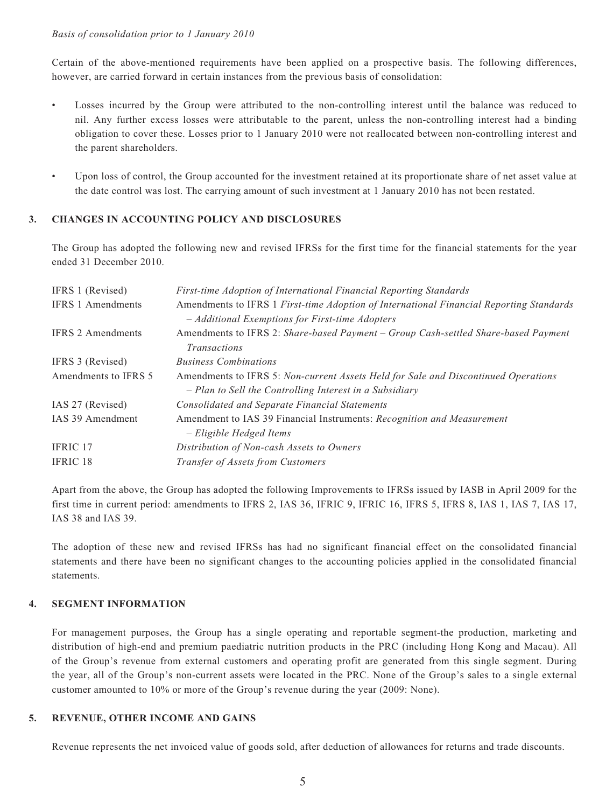#### *Basis of consolidation prior to 1 January 2010*

Certain of the above-mentioned requirements have been applied on a prospective basis. The following differences, however, are carried forward in certain instances from the previous basis of consolidation:

- Losses incurred by the Group were attributed to the non-controlling interest until the balance was reduced to nil. Any further excess losses were attributable to the parent, unless the non-controlling interest had a binding obligation to cover these. Losses prior to 1 January 2010 were not reallocated between non-controlling interest and the parent shareholders.
- Upon loss of control, the Group accounted for the investment retained at its proportionate share of net asset value at the date control was lost. The carrying amount of such investment at 1 January 2010 has not been restated.

#### **3. CHANGES IN ACCOUNTING POLICY AND DISCLOSURES**

The Group has adopted the following new and revised IFRSs for the first time for the financial statements for the year ended 31 December 2010.

| IFRS 1 (Revised)         | First-time Adoption of International Financial Reporting Standards                                                                            |
|--------------------------|-----------------------------------------------------------------------------------------------------------------------------------------------|
| <b>IFRS 1 Amendments</b> | Amendments to IFRS 1 First-time Adoption of International Financial Reporting Standards                                                       |
|                          | - Additional Exemptions for First-time Adopters                                                                                               |
| <b>IFRS 2 Amendments</b> | Amendments to IFRS 2: Share-based Payment – Group Cash-settled Share-based Payment<br><b>Transactions</b>                                     |
| IFRS 3 (Revised)         | <b>Business Combinations</b>                                                                                                                  |
| Amendments to IFRS 5     | Amendments to IFRS 5: Non-current Assets Held for Sale and Discontinued Operations<br>- Plan to Sell the Controlling Interest in a Subsidiary |
| IAS 27 (Revised)         | <b>Consolidated and Separate Financial Statements</b>                                                                                         |
| IAS 39 Amendment         | Amendment to IAS 39 Financial Instruments: Recognition and Measurement<br>- Eligible Hedged Items                                             |
| <b>IFRIC 17</b>          | Distribution of Non-cash Assets to Owners                                                                                                     |
| <b>IFRIC 18</b>          | Transfer of Assets from Customers                                                                                                             |
|                          |                                                                                                                                               |

Apart from the above, the Group has adopted the following Improvements to IFRSs issued by IASB in April 2009 for the first time in current period: amendments to IFRS 2, IAS 36, IFRIC 9, IFRIC 16, IFRS 5, IFRS 8, IAS 1, IAS 7, IAS 17, IAS 38 and IAS 39.

The adoption of these new and revised IFRSs has had no significant financial effect on the consolidated financial statements and there have been no significant changes to the accounting policies applied in the consolidated financial statements.

#### **4. SEGMENT INFORMATION**

For management purposes, the Group has a single operating and reportable segment-the production, marketing and distribution of high-end and premium paediatric nutrition products in the PRC (including Hong Kong and Macau). All of the Group's revenue from external customers and operating profit are generated from this single segment. During the year, all of the Group's non-current assets were located in the PRC. None of the Group's sales to a single external customer amounted to 10% or more of the Group's revenue during the year (2009: None).

#### **5. REVENUE, OTHER INCOME AND GAINS**

Revenue represents the net invoiced value of goods sold, after deduction of allowances for returns and trade discounts.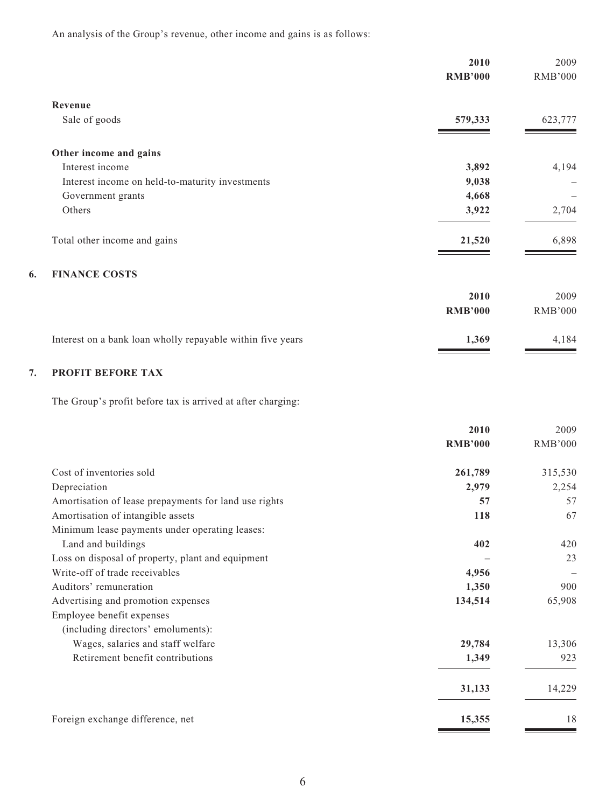An analysis of the Group's revenue, other income and gains is as follows:

|                                                            | 2010           | 2009           |
|------------------------------------------------------------|----------------|----------------|
|                                                            | <b>RMB'000</b> | <b>RMB'000</b> |
| Revenue                                                    |                |                |
| Sale of goods                                              | 579,333        | 623,777        |
| Other income and gains                                     |                |                |
| Interest income                                            | 3,892          | 4,194          |
| Interest income on held-to-maturity investments            | 9,038          |                |
| Government grants                                          | 4,668          |                |
| Others                                                     | 3,922          | 2,704          |
| Total other income and gains                               | 21,520         | 6,898          |
| <b>FINANCE COSTS</b><br>6.                                 |                |                |
|                                                            | 2010           | 2009           |
|                                                            | <b>RMB'000</b> | <b>RMB'000</b> |
| Interest on a bank loan wholly repayable within five years | 1,369          | 4,184          |
| 7.<br>PROFIT BEFORE TAX                                    |                |                |

The Group's profit before tax is arrived at after charging:

|                                                       | 2010           | 2009           |
|-------------------------------------------------------|----------------|----------------|
|                                                       | <b>RMB'000</b> | <b>RMB'000</b> |
| Cost of inventories sold                              | 261,789        | 315,530        |
| Depreciation                                          | 2,979          | 2,254          |
| Amortisation of lease prepayments for land use rights | 57             | 57             |
| Amortisation of intangible assets                     | 118            | 67             |
| Minimum lease payments under operating leases:        |                |                |
| Land and buildings                                    | 402            | 420            |
| Loss on disposal of property, plant and equipment     |                | 23             |
| Write-off of trade receivables                        | 4,956          |                |
| Auditors' remuneration                                | 1,350          | 900            |
| Advertising and promotion expenses                    | 134,514        | 65,908         |
| Employee benefit expenses                             |                |                |
| (including directors' emoluments):                    |                |                |
| Wages, salaries and staff welfare                     | 29,784         | 13,306         |
| Retirement benefit contributions                      | 1,349          | 923            |
|                                                       | 31,133         | 14,229         |
| Foreign exchange difference, net                      | 15,355         | 18             |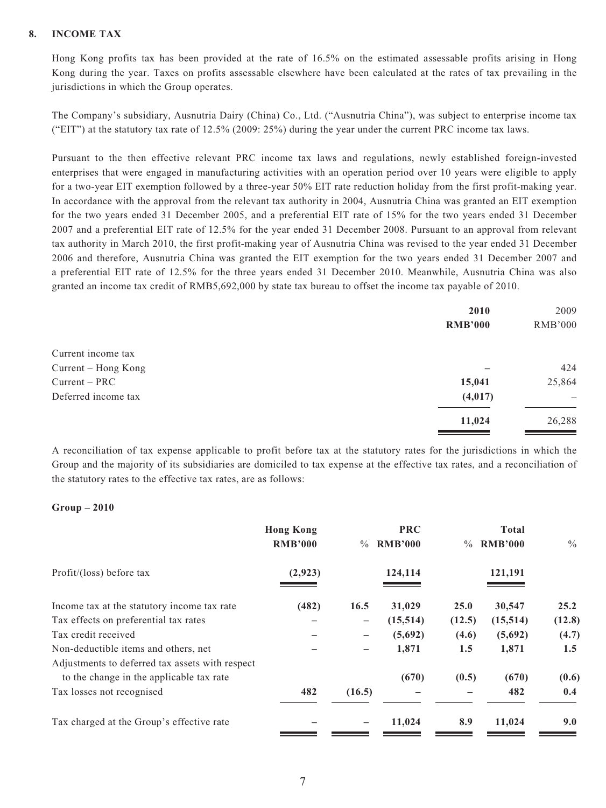#### **8. INCOME TAX**

Hong Kong profits tax has been provided at the rate of 16.5% on the estimated assessable profits arising in Hong Kong during the year. Taxes on profits assessable elsewhere have been calculated at the rates of tax prevailing in the jurisdictions in which the Group operates.

The Company's subsidiary, Ausnutria Dairy (China) Co., Ltd. ("Ausnutria China"), was subject to enterprise income tax ("EIT") at the statutory tax rate of 12.5% (2009: 25%) during the year under the current PRC income tax laws.

Pursuant to the then effective relevant PRC income tax laws and regulations, newly established foreign-invested enterprises that were engaged in manufacturing activities with an operation period over 10 years were eligible to apply for a two-year EIT exemption followed by a three-year 50% EIT rate reduction holiday from the first profit-making year. In accordance with the approval from the relevant tax authority in 2004, Ausnutria China was granted an EIT exemption for the two years ended 31 December 2005, and a preferential EIT rate of 15% for the two years ended 31 December 2007 and a preferential EIT rate of 12.5% for the year ended 31 December 2008. Pursuant to an approval from relevant tax authority in March 2010, the first profit-making year of Ausnutria China was revised to the year ended 31 December 2006 and therefore, Ausnutria China was granted the EIT exemption for the two years ended 31 December 2007 and a preferential EIT rate of 12.5% for the three years ended 31 December 2010. Meanwhile, Ausnutria China was also granted an income tax credit of RMB5,692,000 by state tax bureau to offset the income tax payable of 2010.

|                     | 2010           | 2009           |
|---------------------|----------------|----------------|
|                     | <b>RMB'000</b> | <b>RMB'000</b> |
| Current income tax  |                |                |
| Current – Hong Kong |                | 424            |
| $Current - PRC$     | 15,041         | 25,864         |
| Deferred income tax | (4, 017)       |                |
|                     | 11,024         | 26,288         |
|                     |                |                |

A reconciliation of tax expense applicable to profit before tax at the statutory rates for the jurisdictions in which the Group and the majority of its subsidiaries are domiciled to tax expense at the effective tax rates, and a reconciliation of the statutory rates to the effective tax rates, are as follows:

#### **Group – 2010**

|                                                 | <b>Hong Kong</b><br><b>RMB'000</b> | $\frac{0}{0}$            | <b>PRC</b><br><b>RMB'000</b> | $\frac{0}{0}$ | <b>Total</b><br><b>RMB'000</b> | $\frac{0}{0}$ |
|-------------------------------------------------|------------------------------------|--------------------------|------------------------------|---------------|--------------------------------|---------------|
| Profit/(loss) before tax                        | (2,923)                            |                          | 124,114                      |               | 121,191                        |               |
| Income tax at the statutory income tax rate     | (482)                              | 16.5                     | 31,029                       | 25.0          | 30,547                         | 25.2          |
| Tax effects on preferential tax rates           |                                    | $\overline{\phantom{m}}$ | (15,514)                     | (12.5)        | (15,514)                       | (12.8)        |
| Tax credit received                             |                                    |                          | (5,692)                      | (4.6)         | (5,692)                        | (4.7)         |
| Non-deductible items and others, net            |                                    | -                        | 1,871                        | 1.5           | 1,871                          | 1.5           |
| Adjustments to deferred tax assets with respect |                                    |                          |                              |               |                                |               |
| to the change in the applicable tax rate        |                                    |                          | (670)                        | (0.5)         | (670)                          | (0.6)         |
| Tax losses not recognised                       | 482                                | (16.5)                   |                              |               | 482                            | 0.4           |
| Tax charged at the Group's effective rate       |                                    |                          | 11,024                       | 8.9           | 11,024                         | 9.0           |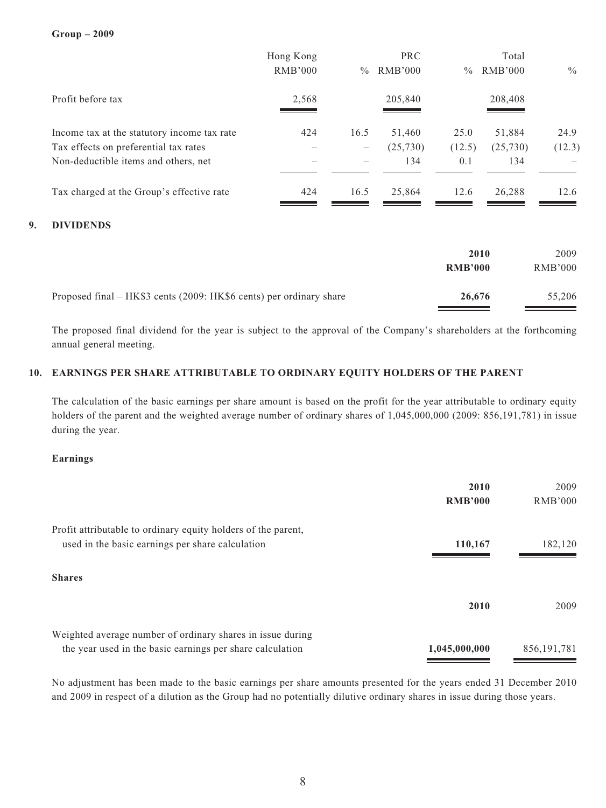**Group – 2009**

|    |                                                                     | Hong Kong<br><b>RMB'000</b> | $\frac{0}{0}$                   | PRC<br><b>RMB'000</b> | $\frac{0}{0}$  | Total<br><b>RMB'000</b> | $\frac{0}{0}$  |
|----|---------------------------------------------------------------------|-----------------------------|---------------------------------|-----------------------|----------------|-------------------------|----------------|
|    | Profit before tax                                                   | 2,568                       |                                 | 205,840               |                | 208,408                 |                |
|    | Income tax at the statutory income tax rate                         | 424                         | 16.5                            | 51,460                | 25.0           | 51,884                  | 24.9           |
|    | Tax effects on preferential tax rates                               |                             | $\overbrace{\phantom{1232211}}$ | (25,730)              | (12.5)         | (25,730)                | (12.3)         |
|    | Non-deductible items and others, net                                |                             |                                 | 134                   | 0.1            | 134                     |                |
|    | Tax charged at the Group's effective rate                           | 424                         | 16.5                            | 25,864                | 12.6           | 26,288                  | 12.6           |
| 9. | <b>DIVIDENDS</b>                                                    |                             |                                 |                       |                |                         |                |
|    |                                                                     |                             |                                 |                       |                | 2010                    | 2009           |
|    |                                                                     |                             |                                 |                       | <b>RMB'000</b> |                         | <b>RMB'000</b> |
|    | Proposed final – HK\$3 cents (2009: HK\$6 cents) per ordinary share |                             |                                 |                       | 26,676         |                         | 55,206         |

The proposed final dividend for the year is subject to the approval of the Company's shareholders at the forthcoming annual general meeting.

#### **10. EARNINGS PER SHARE ATTRIBUTABLE TO ORDINARY EQUITY HOLDERS OF THE PARENT**

The calculation of the basic earnings per share amount is based on the profit for the year attributable to ordinary equity holders of the parent and the weighted average number of ordinary shares of 1,045,000,000 (2009: 856,191,781) in issue during the year.

#### **Earnings**

|                                                               | 2010<br><b>RMB'000</b> | 2009<br>RMB'000 |
|---------------------------------------------------------------|------------------------|-----------------|
| Profit attributable to ordinary equity holders of the parent, |                        |                 |
| used in the basic earnings per share calculation              | 110,167                | 182,120         |
| <b>Shares</b>                                                 |                        |                 |
|                                                               | 2010                   | 2009            |
| Weighted average number of ordinary shares in issue during    |                        |                 |
| the year used in the basic earnings per share calculation     | 1,045,000,000          | 856, 191, 781   |

No adjustment has been made to the basic earnings per share amounts presented for the years ended 31 December 2010 and 2009 in respect of a dilution as the Group had no potentially dilutive ordinary shares in issue during those years.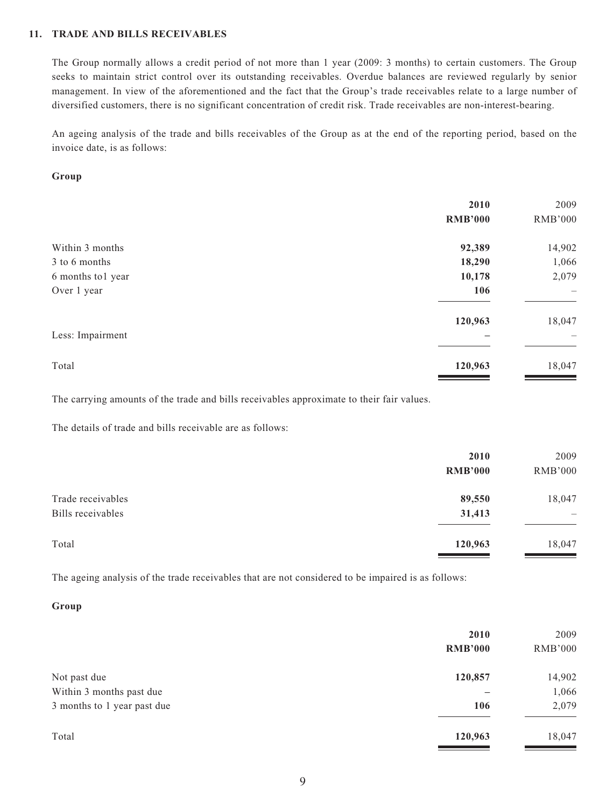#### **11. TRADE AND BILLS RECEIVABLES**

The Group normally allows a credit period of not more than 1 year (2009: 3 months) to certain customers. The Group seeks to maintain strict control over its outstanding receivables. Overdue balances are reviewed regularly by senior management. In view of the aforementioned and the fact that the Group's trade receivables relate to a large number of diversified customers, there is no significant concentration of credit risk. Trade receivables are non-interest-bearing.

An ageing analysis of the trade and bills receivables of the Group as at the end of the reporting period, based on the invoice date, is as follows:

#### **Group**

|                   | 2010<br><b>RMB'000</b> | 2009<br><b>RMB'000</b> |
|-------------------|------------------------|------------------------|
| Within 3 months   | 92,389                 | 14,902                 |
| 3 to 6 months     | 18,290                 | 1,066                  |
| 6 months to1 year | 10,178                 | 2,079                  |
| Over 1 year       | 106                    |                        |
|                   | 120,963                | 18,047                 |
| Less: Impairment  |                        |                        |
| Total             | 120,963                | 18,047                 |

The carrying amounts of the trade and bills receivables approximate to their fair values.

The details of trade and bills receivable are as follows:

|                   | 2010           | 2009                     |
|-------------------|----------------|--------------------------|
|                   | <b>RMB'000</b> | <b>RMB'000</b>           |
| Trade receivables | 89,550         | 18,047                   |
| Bills receivables | 31,413         | $\overline{\phantom{m}}$ |
| Total             | 120,963        | 18,047                   |
|                   |                |                          |

The ageing analysis of the trade receivables that are not considered to be impaired is as follows:

#### **Group**

|                             | 2010<br><b>RMB'000</b> | 2009<br><b>RMB'000</b> |
|-----------------------------|------------------------|------------------------|
| Not past due                | 120,857                | 14,902                 |
| Within 3 months past due    |                        | 1,066                  |
| 3 months to 1 year past due | 106                    | 2,079                  |
| Total                       | 120,963                | 18,047                 |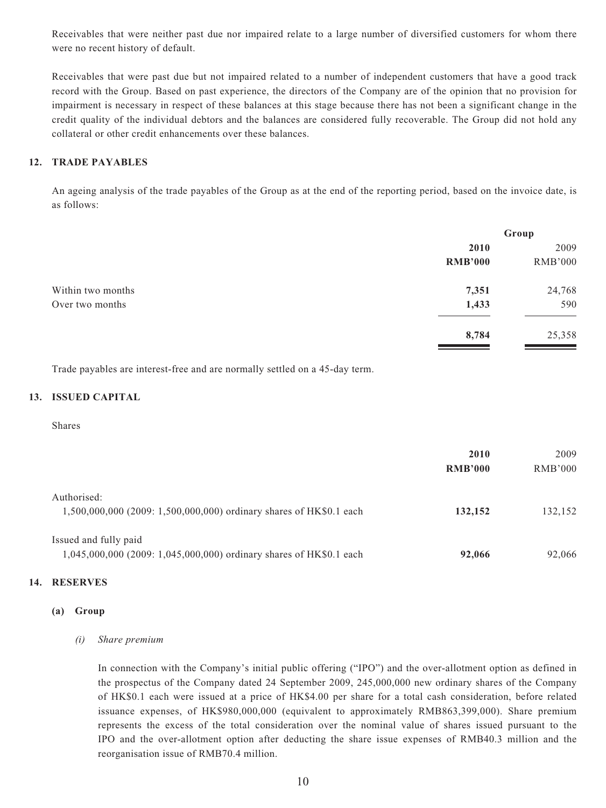Receivables that were neither past due nor impaired relate to a large number of diversified customers for whom there were no recent history of default.

Receivables that were past due but not impaired related to a number of independent customers that have a good track record with the Group. Based on past experience, the directors of the Company are of the opinion that no provision for impairment is necessary in respect of these balances at this stage because there has not been a significant change in the credit quality of the individual debtors and the balances are considered fully recoverable. The Group did not hold any collateral or other credit enhancements over these balances.

#### **12. TRADE PAYABLES**

An ageing analysis of the trade payables of the Group as at the end of the reporting period, based on the invoice date, is as follows:

|                   |                | Group          |  |
|-------------------|----------------|----------------|--|
|                   | 2010           | 2009           |  |
|                   | <b>RMB'000</b> | <b>RMB'000</b> |  |
| Within two months | 7,351          | 24,768         |  |
| Over two months   | 1,433          | 590            |  |
|                   | 8,784          | 25,358         |  |
|                   |                |                |  |

Trade payables are interest-free and are normally settled on a 45-day term.

#### **13. ISSUED CAPITAL**

#### Shares

|                                                                                              | 2010<br><b>RMB'000</b> | 2009<br><b>RMB'000</b> |
|----------------------------------------------------------------------------------------------|------------------------|------------------------|
| Authorised:<br>1,500,000,000 (2009: 1,500,000,000) ordinary shares of HK\$0.1 each           | 132,152                | 132,152                |
| Issued and fully paid<br>1,045,000,000 (2009: 1,045,000,000) ordinary shares of HK\$0.1 each | 92,066                 | 92,066                 |

#### **14. RESERVES**

#### **(a) Group**

#### *(i) Share premium*

In connection with the Company's initial public offering ("IPO") and the over-allotment option as defined in the prospectus of the Company dated 24 September 2009, 245,000,000 new ordinary shares of the Company of HK\$0.1 each were issued at a price of HK\$4.00 per share for a total cash consideration, before related issuance expenses, of HK\$980,000,000 (equivalent to approximately RMB863,399,000). Share premium represents the excess of the total consideration over the nominal value of shares issued pursuant to the IPO and the over-allotment option after deducting the share issue expenses of RMB40.3 million and the reorganisation issue of RMB70.4 million.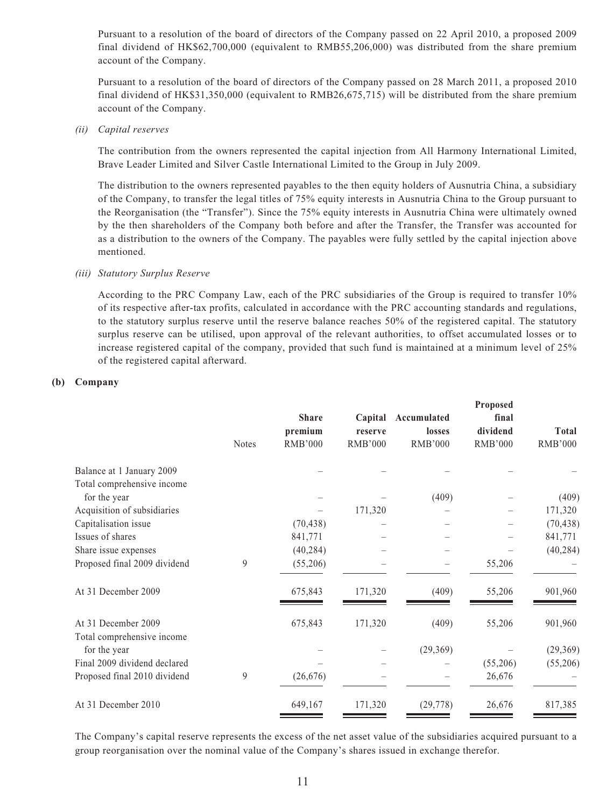Pursuant to a resolution of the board of directors of the Company passed on 22 April 2010, a proposed 2009 final dividend of HK\$62,700,000 (equivalent to RMB55,206,000) was distributed from the share premium account of the Company.

Pursuant to a resolution of the board of directors of the Company passed on 28 March 2011, a proposed 2010 final dividend of HK\$31,350,000 (equivalent to RMB26,675,715) will be distributed from the share premium account of the Company.

*(ii) Capital reserves*

The contribution from the owners represented the capital injection from All Harmony International Limited, Brave Leader Limited and Silver Castle International Limited to the Group in July 2009.

The distribution to the owners represented payables to the then equity holders of Ausnutria China, a subsidiary of the Company, to transfer the legal titles of 75% equity interests in Ausnutria China to the Group pursuant to the Reorganisation (the "Transfer"). Since the 75% equity interests in Ausnutria China were ultimately owned by the then shareholders of the Company both before and after the Transfer, the Transfer was accounted for as a distribution to the owners of the Company. The payables were fully settled by the capital injection above mentioned.

#### *(iii) Statutory Surplus Reserve*

According to the PRC Company Law, each of the PRC subsidiaries of the Group is required to transfer 10% of its respective after-tax profits, calculated in accordance with the PRC accounting standards and regulations, to the statutory surplus reserve until the reserve balance reaches 50% of the registered capital. The statutory surplus reserve can be utilised, upon approval of the relevant authorities, to offset accumulated losses or to increase registered capital of the company, provided that such fund is maintained at a minimum level of 25% of the registered capital afterward.

#### **(b) Company**

| <b>Notes</b> | <b>Share</b><br>premium<br><b>RMB'000</b> | Capital<br>reserve<br><b>RMB'000</b> | Accumulated<br>losses<br><b>RMB'000</b> | <b>Proposed</b><br>final<br>dividend<br><b>RMB'000</b> | <b>Total</b><br><b>RMB'000</b> |
|--------------|-------------------------------------------|--------------------------------------|-----------------------------------------|--------------------------------------------------------|--------------------------------|
|              |                                           |                                      |                                         |                                                        |                                |
|              |                                           |                                      |                                         |                                                        |                                |
|              |                                           |                                      | (409)                                   |                                                        | (409)                          |
|              |                                           | 171,320                              |                                         |                                                        | 171,320                        |
|              | (70, 438)                                 |                                      |                                         |                                                        | (70, 438)                      |
|              | 841,771                                   |                                      |                                         |                                                        | 841,771                        |
|              | (40, 284)                                 |                                      |                                         |                                                        | (40, 284)                      |
| 9            | (55,206)                                  |                                      |                                         | 55,206                                                 |                                |
|              | 675,843                                   | 171,320                              | (409)                                   | 55,206                                                 | 901,960                        |
|              | 675,843                                   | 171,320                              | (409)                                   | 55,206                                                 | 901,960                        |
|              |                                           |                                      |                                         |                                                        |                                |
|              |                                           |                                      |                                         |                                                        | (29, 369)                      |
|              |                                           |                                      |                                         |                                                        | (55,206)                       |
|              |                                           |                                      |                                         |                                                        |                                |
|              | 649,167                                   | 171,320                              | (29, 778)                               | 26,676                                                 | 817,385                        |
|              | 9                                         | (26, 676)                            |                                         | (29, 369)                                              | (55,206)<br>26,676             |

The Company's capital reserve represents the excess of the net asset value of the subsidiaries acquired pursuant to a group reorganisation over the nominal value of the Company's shares issued in exchange therefor.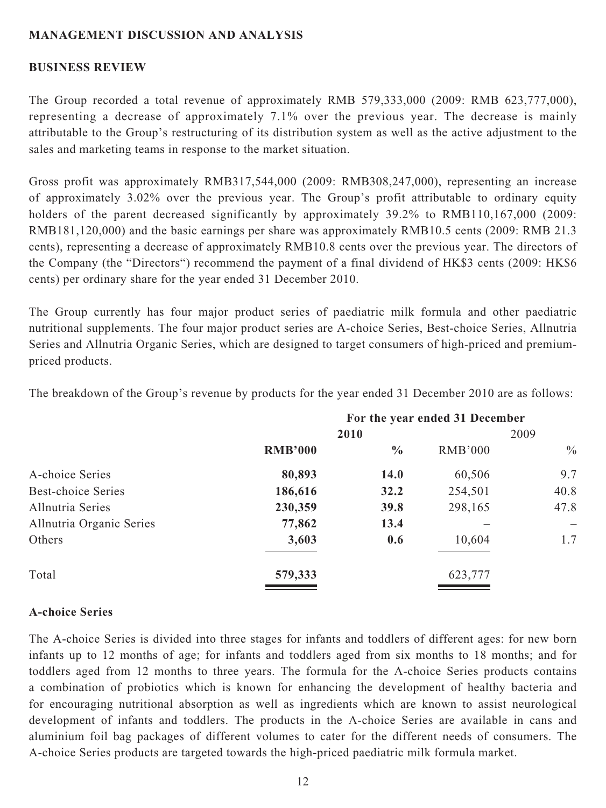#### **MANAGEMENT DISCUSSION AND ANALYSIS**

#### **BUSINESS REVIEW**

The Group recorded a total revenue of approximately RMB 579,333,000 (2009: RMB 623,777,000), representing a decrease of approximately 7.1% over the previous year. The decrease is mainly attributable to the Group's restructuring of its distribution system as well as the active adjustment to the sales and marketing teams in response to the market situation.

Gross profit was approximately RMB317,544,000 (2009: RMB308,247,000), representing an increase of approximately 3.02% over the previous year. The Group's profit attributable to ordinary equity holders of the parent decreased significantly by approximately 39.2% to RMB110,167,000 (2009: RMB181,120,000) and the basic earnings per share was approximately RMB10.5 cents (2009: RMB 21.3 cents), representing a decrease of approximately RMB10.8 cents over the previous year. The directors of the Company (the "Directors") recommend the payment of a final dividend of HK\$3 cents (2009: HK\$6 cents) per ordinary share for the year ended 31 December 2010.

The Group currently has four major product series of paediatric milk formula and other paediatric nutritional supplements. The four major product series are A-choice Series, Best-choice Series, Allnutria Series and Allnutria Organic Series, which are designed to target consumers of high-priced and premiumpriced products.

|                           | For the year ended 31 December |               |                |               |
|---------------------------|--------------------------------|---------------|----------------|---------------|
|                           | 2010                           |               | 2009           |               |
|                           | <b>RMB'000</b>                 | $\frac{6}{6}$ | <b>RMB'000</b> | $\frac{0}{0}$ |
| A-choice Series           | 80,893                         | <b>14.0</b>   | 60,506         | 9.7           |
| <b>Best-choice Series</b> | 186,616                        | 32.2          | 254,501        | 40.8          |
| Allnutria Series          | 230,359                        | 39.8          | 298,165        | 47.8          |
| Allnutria Organic Series  | 77,862                         | 13.4          |                |               |
| Others                    | 3,603                          | 0.6           | 10,604         | 1.7           |
| Total                     | 579,333                        |               | 623,777        |               |
|                           |                                |               |                |               |

The breakdown of the Group's revenue by products for the year ended 31 December 2010 are as follows:

#### **A-choice Series**

The A-choice Series is divided into three stages for infants and toddlers of different ages: for new born infants up to 12 months of age; for infants and toddlers aged from six months to 18 months; and for toddlers aged from 12 months to three years. The formula for the A-choice Series products contains a combination of probiotics which is known for enhancing the development of healthy bacteria and for encouraging nutritional absorption as well as ingredients which are known to assist neurological development of infants and toddlers. The products in the A-choice Series are available in cans and aluminium foil bag packages of different volumes to cater for the different needs of consumers. The A-choice Series products are targeted towards the high-priced paediatric milk formula market.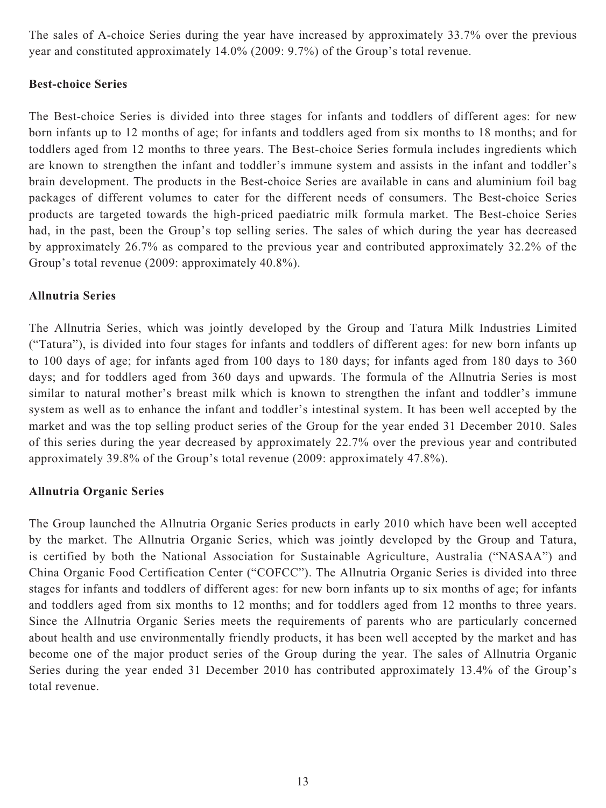The sales of A-choice Series during the year have increased by approximately 33.7% over the previous year and constituted approximately 14.0% (2009: 9.7%) of the Group's total revenue.

### **Best-choice Series**

The Best-choice Series is divided into three stages for infants and toddlers of different ages: for new born infants up to 12 months of age; for infants and toddlers aged from six months to 18 months; and for toddlers aged from 12 months to three years. The Best-choice Series formula includes ingredients which are known to strengthen the infant and toddler's immune system and assists in the infant and toddler's brain development. The products in the Best-choice Series are available in cans and aluminium foil bag packages of different volumes to cater for the different needs of consumers. The Best-choice Series products are targeted towards the high-priced paediatric milk formula market. The Best-choice Series had, in the past, been the Group's top selling series. The sales of which during the year has decreased by approximately 26.7% as compared to the previous year and contributed approximately 32.2% of the Group's total revenue (2009: approximately 40.8%).

### **Allnutria Series**

The Allnutria Series, which was jointly developed by the Group and Tatura Milk Industries Limited ("Tatura"), is divided into four stages for infants and toddlers of different ages: for new born infants up to 100 days of age; for infants aged from 100 days to 180 days; for infants aged from 180 days to 360 days; and for toddlers aged from 360 days and upwards. The formula of the Allnutria Series is most similar to natural mother's breast milk which is known to strengthen the infant and toddler's immune system as well as to enhance the infant and toddler's intestinal system. It has been well accepted by the market and was the top selling product series of the Group for the year ended 31 December 2010. Sales of this series during the year decreased by approximately 22.7% over the previous year and contributed approximately 39.8% of the Group's total revenue (2009: approximately 47.8%).

#### **Allnutria Organic Series**

The Group launched the Allnutria Organic Series products in early 2010 which have been well accepted by the market. The Allnutria Organic Series, which was jointly developed by the Group and Tatura, is certified by both the National Association for Sustainable Agriculture, Australia ("NASAA") and China Organic Food Certification Center ("COFCC"). The Allnutria Organic Series is divided into three stages for infants and toddlers of different ages: for new born infants up to six months of age; for infants and toddlers aged from six months to 12 months; and for toddlers aged from 12 months to three years. Since the Allnutria Organic Series meets the requirements of parents who are particularly concerned about health and use environmentally friendly products, it has been well accepted by the market and has become one of the major product series of the Group during the year. The sales of Allnutria Organic Series during the year ended 31 December 2010 has contributed approximately 13.4% of the Group's total revenue.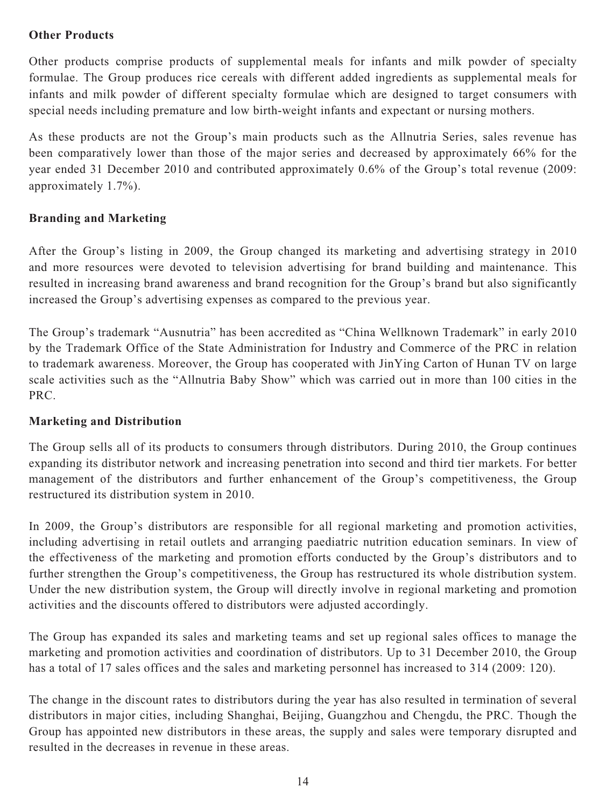### **Other Products**

Other products comprise products of supplemental meals for infants and milk powder of specialty formulae. The Group produces rice cereals with different added ingredients as supplemental meals for infants and milk powder of different specialty formulae which are designed to target consumers with special needs including premature and low birth-weight infants and expectant or nursing mothers.

As these products are not the Group's main products such as the Allnutria Series, sales revenue has been comparatively lower than those of the major series and decreased by approximately 66% for the year ended 31 December 2010 and contributed approximately 0.6% of the Group's total revenue (2009: approximately 1.7%).

### **Branding and Marketing**

After the Group's listing in 2009, the Group changed its marketing and advertising strategy in 2010 and more resources were devoted to television advertising for brand building and maintenance. This resulted in increasing brand awareness and brand recognition for the Group's brand but also significantly increased the Group's advertising expenses as compared to the previous year.

The Group's trademark "Ausnutria" has been accredited as "China Wellknown Trademark" in early 2010 by the Trademark Office of the State Administration for Industry and Commerce of the PRC in relation to trademark awareness. Moreover, the Group has cooperated with JinYing Carton of Hunan TV on large scale activities such as the "Allnutria Baby Show" which was carried out in more than 100 cities in the PRC.

#### **Marketing and Distribution**

The Group sells all of its products to consumers through distributors. During 2010, the Group continues expanding its distributor network and increasing penetration into second and third tier markets. For better management of the distributors and further enhancement of the Group's competitiveness, the Group restructured its distribution system in 2010.

In 2009, the Group's distributors are responsible for all regional marketing and promotion activities, including advertising in retail outlets and arranging paediatric nutrition education seminars. In view of the effectiveness of the marketing and promotion efforts conducted by the Group's distributors and to further strengthen the Group's competitiveness, the Group has restructured its whole distribution system. Under the new distribution system, the Group will directly involve in regional marketing and promotion activities and the discounts offered to distributors were adjusted accordingly.

The Group has expanded its sales and marketing teams and set up regional sales offices to manage the marketing and promotion activities and coordination of distributors. Up to 31 December 2010, the Group has a total of 17 sales offices and the sales and marketing personnel has increased to 314 (2009: 120).

The change in the discount rates to distributors during the year has also resulted in termination of several distributors in major cities, including Shanghai, Beijing, Guangzhou and Chengdu, the PRC. Though the Group has appointed new distributors in these areas, the supply and sales were temporary disrupted and resulted in the decreases in revenue in these areas.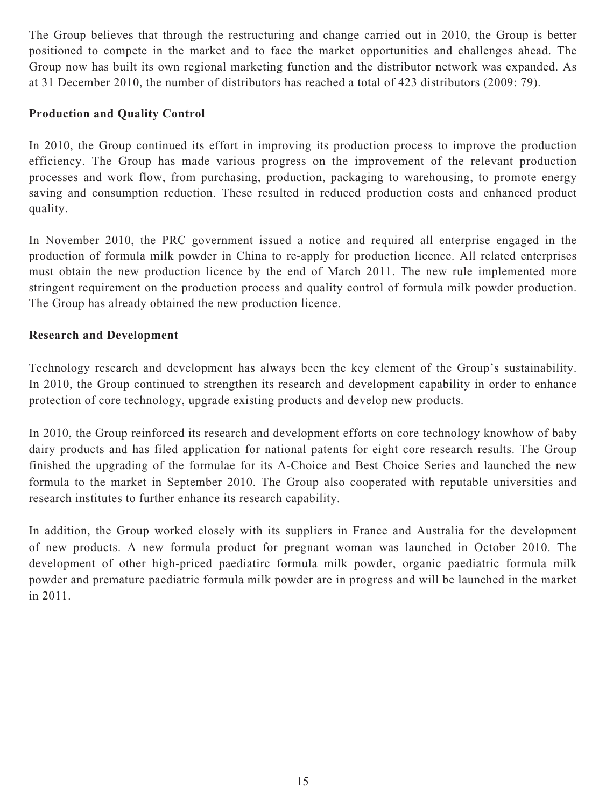The Group believes that through the restructuring and change carried out in 2010, the Group is better positioned to compete in the market and to face the market opportunities and challenges ahead. The Group now has built its own regional marketing function and the distributor network was expanded. As at 31 December 2010, the number of distributors has reached a total of 423 distributors (2009: 79).

### **Production and Quality Control**

In 2010, the Group continued its effort in improving its production process to improve the production efficiency. The Group has made various progress on the improvement of the relevant production processes and work flow, from purchasing, production, packaging to warehousing, to promote energy saving and consumption reduction. These resulted in reduced production costs and enhanced product quality.

In November 2010, the PRC government issued a notice and required all enterprise engaged in the production of formula milk powder in China to re-apply for production licence. All related enterprises must obtain the new production licence by the end of March 2011. The new rule implemented more stringent requirement on the production process and quality control of formula milk powder production. The Group has already obtained the new production licence.

### **Research and Development**

Technology research and development has always been the key element of the Group's sustainability. In 2010, the Group continued to strengthen its research and development capability in order to enhance protection of core technology, upgrade existing products and develop new products.

In 2010, the Group reinforced its research and development efforts on core technology knowhow of baby dairy products and has filed application for national patents for eight core research results. The Group finished the upgrading of the formulae for its A-Choice and Best Choice Series and launched the new formula to the market in September 2010. The Group also cooperated with reputable universities and research institutes to further enhance its research capability.

In addition, the Group worked closely with its suppliers in France and Australia for the development of new products. A new formula product for pregnant woman was launched in October 2010. The development of other high-priced paediatirc formula milk powder, organic paediatric formula milk powder and premature paediatric formula milk powder are in progress and will be launched in the market in 2011.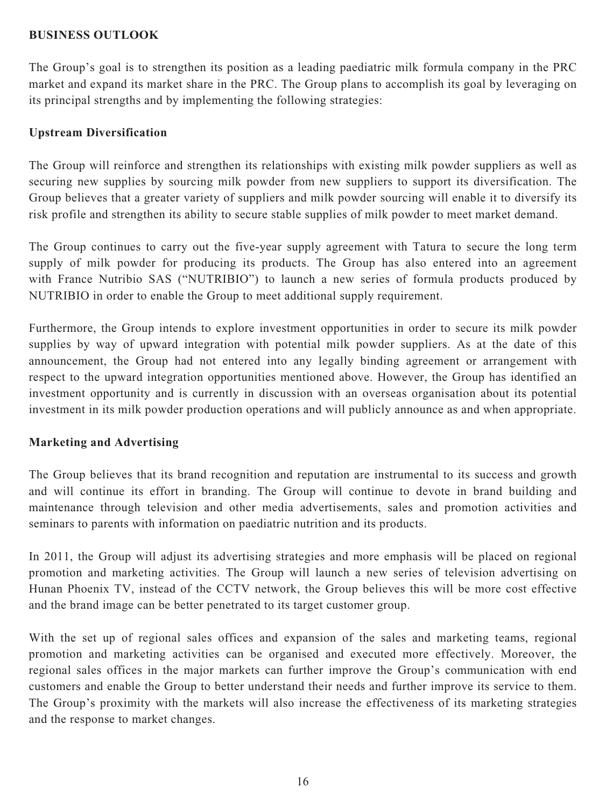#### **BUSINESS OUTLOOK**

The Group's goal is to strengthen its position as a leading paediatric milk formula company in the PRC market and expand its market share in the PRC. The Group plans to accomplish its goal by leveraging on its principal strengths and by implementing the following strategies:

### **Upstream Diversification**

The Group will reinforce and strengthen its relationships with existing milk powder suppliers as well as securing new supplies by sourcing milk powder from new suppliers to support its diversification. The Group believes that a greater variety of suppliers and milk powder sourcing will enable it to diversify its risk profile and strengthen its ability to secure stable supplies of milk powder to meet market demand.

The Group continues to carry out the five-year supply agreement with Tatura to secure the long term supply of milk powder for producing its products. The Group has also entered into an agreement with France Nutribio SAS ("NUTRIBIO") to launch a new series of formula products produced by NUTRIBIO in order to enable the Group to meet additional supply requirement.

Furthermore, the Group intends to explore investment opportunities in order to secure its milk powder supplies by way of upward integration with potential milk powder suppliers. As at the date of this announcement, the Group had not entered into any legally binding agreement or arrangement with respect to the upward integration opportunities mentioned above. However, the Group has identified an investment opportunity and is currently in discussion with an overseas organisation about its potential investment in its milk powder production operations and will publicly announce as and when appropriate.

#### **Marketing and Advertising**

The Group believes that its brand recognition and reputation are instrumental to its success and growth and will continue its effort in branding. The Group will continue to devote in brand building and maintenance through television and other media advertisements, sales and promotion activities and seminars to parents with information on paediatric nutrition and its products.

In 2011, the Group will adjust its advertising strategies and more emphasis will be placed on regional promotion and marketing activities. The Group will launch a new series of television advertising on Hunan Phoenix TV, instead of the CCTV network, the Group believes this will be more cost effective and the brand image can be better penetrated to its target customer group.

With the set up of regional sales offices and expansion of the sales and marketing teams, regional promotion and marketing activities can be organised and executed more effectively. Moreover, the regional sales offices in the major markets can further improve the Group's communication with end customers and enable the Group to better understand their needs and further improve its service to them. The Group's proximity with the markets will also increase the effectiveness of its marketing strategies and the response to market changes.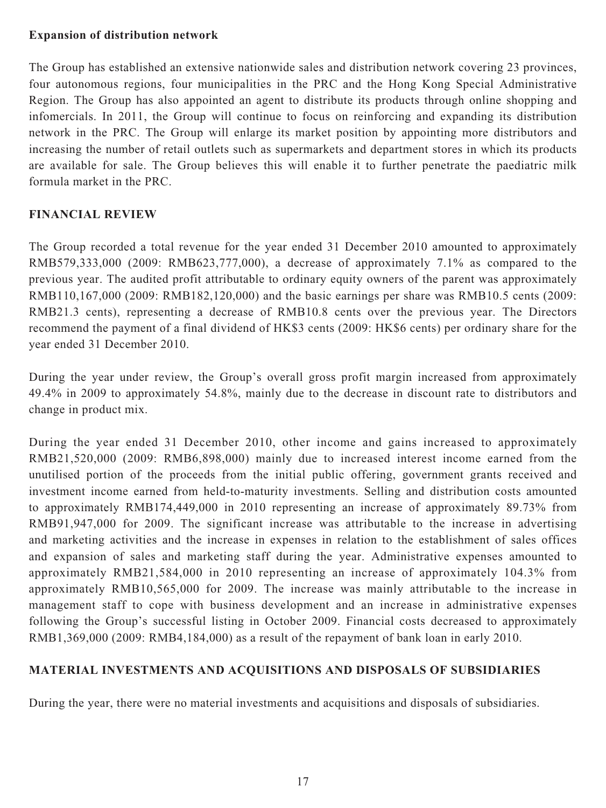#### **Expansion of distribution network**

The Group has established an extensive nationwide sales and distribution network covering 23 provinces, four autonomous regions, four municipalities in the PRC and the Hong Kong Special Administrative Region. The Group has also appointed an agent to distribute its products through online shopping and infomercials. In 2011, the Group will continue to focus on reinforcing and expanding its distribution network in the PRC. The Group will enlarge its market position by appointing more distributors and increasing the number of retail outlets such as supermarkets and department stores in which its products are available for sale. The Group believes this will enable it to further penetrate the paediatric milk formula market in the PRC.

### **FINANCIAL REVIEW**

The Group recorded a total revenue for the year ended 31 December 2010 amounted to approximately RMB579,333,000 (2009: RMB623,777,000), a decrease of approximately 7.1% as compared to the previous year. The audited profit attributable to ordinary equity owners of the parent was approximately RMB110,167,000 (2009: RMB182,120,000) and the basic earnings per share was RMB10.5 cents (2009: RMB21.3 cents), representing a decrease of RMB10.8 cents over the previous year. The Directors recommend the payment of a final dividend of HK\$3 cents (2009: HK\$6 cents) per ordinary share for the year ended 31 December 2010.

During the year under review, the Group's overall gross profit margin increased from approximately 49.4% in 2009 to approximately 54.8%, mainly due to the decrease in discount rate to distributors and change in product mix.

During the year ended 31 December 2010, other income and gains increased to approximately RMB21,520,000 (2009: RMB6,898,000) mainly due to increased interest income earned from the unutilised portion of the proceeds from the initial public offering, government grants received and investment income earned from held-to-maturity investments. Selling and distribution costs amounted to approximately RMB174,449,000 in 2010 representing an increase of approximately 89.73% from RMB91,947,000 for 2009. The significant increase was attributable to the increase in advertising and marketing activities and the increase in expenses in relation to the establishment of sales offices and expansion of sales and marketing staff during the year. Administrative expenses amounted to approximately RMB21,584,000 in 2010 representing an increase of approximately 104.3% from approximately RMB10,565,000 for 2009. The increase was mainly attributable to the increase in management staff to cope with business development and an increase in administrative expenses following the Group's successful listing in October 2009. Financial costs decreased to approximately RMB1,369,000 (2009: RMB4,184,000) as a result of the repayment of bank loan in early 2010.

### **MATERIAL INVESTMENTS AND ACQUISITIONS AND DISPOSALS OF SUBSIDIARIES**

During the year, there were no material investments and acquisitions and disposals of subsidiaries.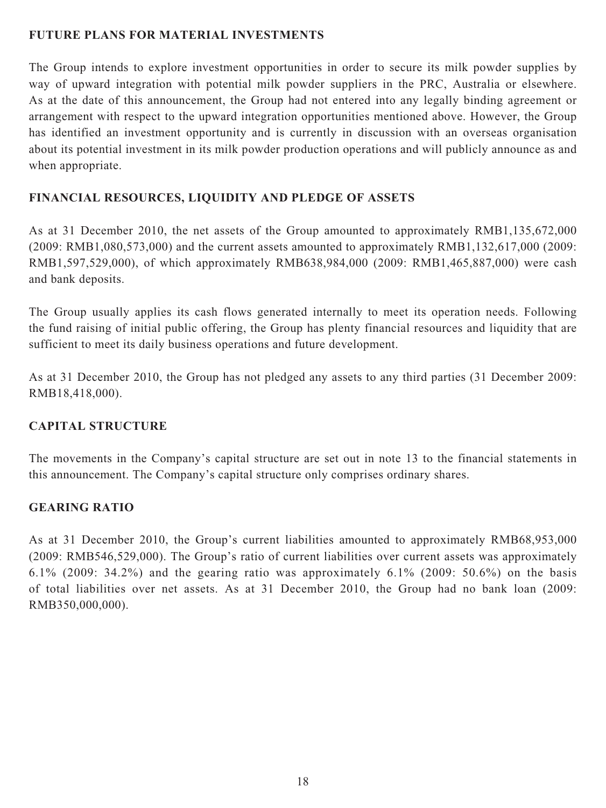### **FUTURE PLANS FOR MATERIAL INVESTMENTS**

The Group intends to explore investment opportunities in order to secure its milk powder supplies by way of upward integration with potential milk powder suppliers in the PRC, Australia or elsewhere. As at the date of this announcement, the Group had not entered into any legally binding agreement or arrangement with respect to the upward integration opportunities mentioned above. However, the Group has identified an investment opportunity and is currently in discussion with an overseas organisation about its potential investment in its milk powder production operations and will publicly announce as and when appropriate.

### **FINANCIAL RESOURCES, LIQUIDITY AND PLEDGE OF ASSETS**

As at 31 December 2010, the net assets of the Group amounted to approximately RMB1,135,672,000 (2009: RMB1,080,573,000) and the current assets amounted to approximately RMB1,132,617,000 (2009: RMB1,597,529,000), of which approximately RMB638,984,000 (2009: RMB1,465,887,000) were cash and bank deposits.

The Group usually applies its cash flows generated internally to meet its operation needs. Following the fund raising of initial public offering, the Group has plenty financial resources and liquidity that are sufficient to meet its daily business operations and future development.

As at 31 December 2010, the Group has not pledged any assets to any third parties (31 December 2009: RMB18,418,000).

#### **CAPITAL STRUCTURE**

The movements in the Company's capital structure are set out in note 13 to the financial statements in this announcement. The Company's capital structure only comprises ordinary shares.

### **GEARING RATIO**

As at 31 December 2010, the Group's current liabilities amounted to approximately RMB68,953,000 (2009: RMB546,529,000). The Group's ratio of current liabilities over current assets was approximately 6.1% (2009: 34.2%) and the gearing ratio was approximately 6.1% (2009: 50.6%) on the basis of total liabilities over net assets. As at 31 December 2010, the Group had no bank loan (2009: RMB350,000,000).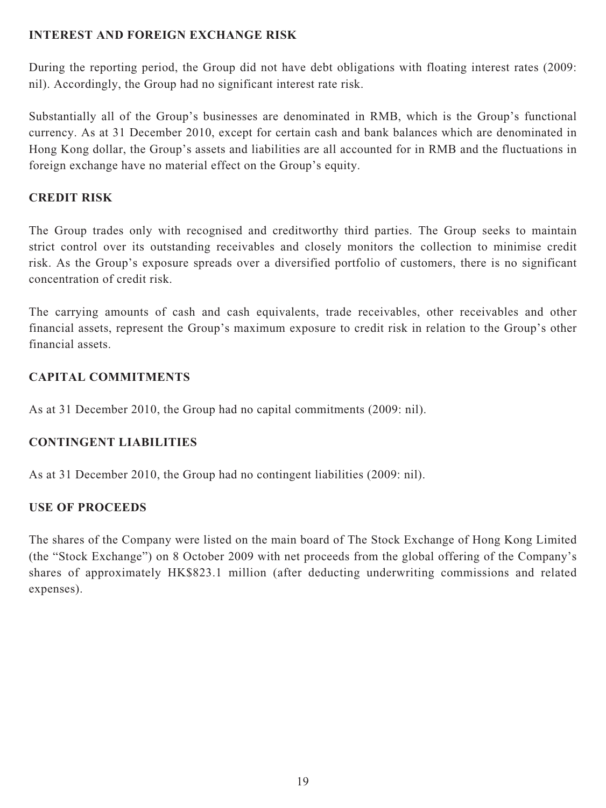### **INTEREST AND FOREIGN EXCHANGE RISK**

During the reporting period, the Group did not have debt obligations with floating interest rates (2009: nil). Accordingly, the Group had no significant interest rate risk.

Substantially all of the Group's businesses are denominated in RMB, which is the Group's functional currency. As at 31 December 2010, except for certain cash and bank balances which are denominated in Hong Kong dollar, the Group's assets and liabilities are all accounted for in RMB and the fluctuations in foreign exchange have no material effect on the Group's equity.

### **CREDIT RISK**

The Group trades only with recognised and creditworthy third parties. The Group seeks to maintain strict control over its outstanding receivables and closely monitors the collection to minimise credit risk. As the Group's exposure spreads over a diversified portfolio of customers, there is no significant concentration of credit risk.

The carrying amounts of cash and cash equivalents, trade receivables, other receivables and other financial assets, represent the Group's maximum exposure to credit risk in relation to the Group's other financial assets.

### **CAPITAL COMMITMENTS**

As at 31 December 2010, the Group had no capital commitments (2009: nil).

### **CONTINGENT LIABILITIES**

As at 31 December 2010, the Group had no contingent liabilities (2009: nil).

### **USE OF PROCEEDS**

The shares of the Company were listed on the main board of The Stock Exchange of Hong Kong Limited (the "Stock Exchange") on 8 October 2009 with net proceeds from the global offering of the Company's shares of approximately HK\$823.1 million (after deducting underwriting commissions and related expenses).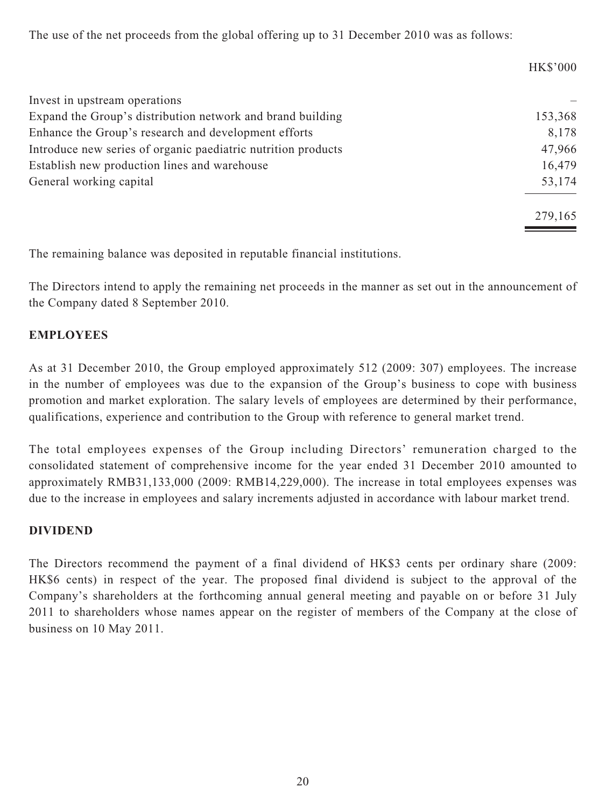The use of the net proceeds from the global offering up to 31 December 2010 was as follows:

|                                                               | <b>HK\$'000</b> |
|---------------------------------------------------------------|-----------------|
| Invest in upstream operations                                 |                 |
| Expand the Group's distribution network and brand building    | 153,368         |
| Enhance the Group's research and development efforts          | 8,178           |
| Introduce new series of organic paediatric nutrition products | 47,966          |
| Establish new production lines and warehouse                  | 16,479          |
| General working capital                                       | 53,174          |
|                                                               | 279,165         |

The remaining balance was deposited in reputable financial institutions.

The Directors intend to apply the remaining net proceeds in the manner as set out in the announcement of the Company dated 8 September 2010.

### **EMPLOYEES**

As at 31 December 2010, the Group employed approximately 512 (2009: 307) employees. The increase in the number of employees was due to the expansion of the Group's business to cope with business promotion and market exploration. The salary levels of employees are determined by their performance, qualifications, experience and contribution to the Group with reference to general market trend.

The total employees expenses of the Group including Directors' remuneration charged to the consolidated statement of comprehensive income for the year ended 31 December 2010 amounted to approximately RMB31,133,000 (2009: RMB14,229,000). The increase in total employees expenses was due to the increase in employees and salary increments adjusted in accordance with labour market trend.

### **DIVIDEND**

The Directors recommend the payment of a final dividend of HK\$3 cents per ordinary share (2009: HK\$6 cents) in respect of the year. The proposed final dividend is subject to the approval of the Company's shareholders at the forthcoming annual general meeting and payable on or before 31 July 2011 to shareholders whose names appear on the register of members of the Company at the close of business on 10 May 2011.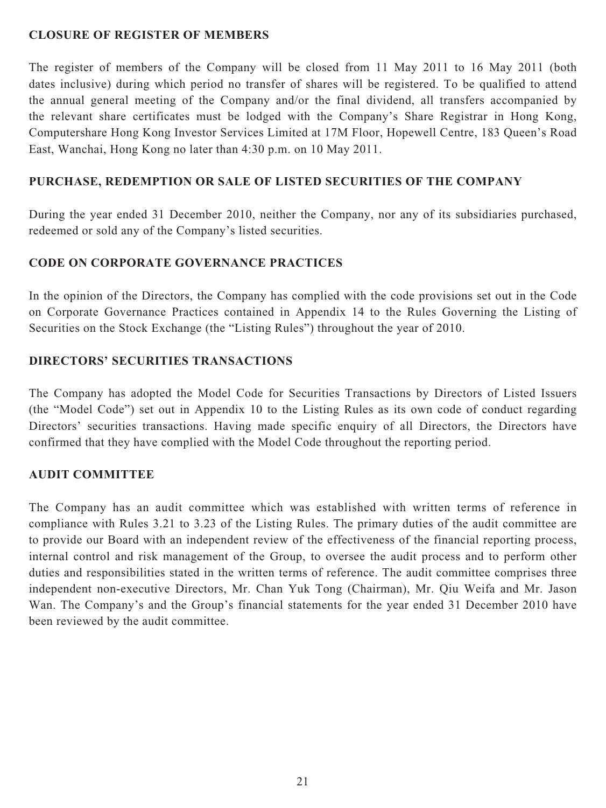### **CLOSURE OF REGISTER OF MEMBERS**

The register of members of the Company will be closed from 11 May 2011 to 16 May 2011 (both dates inclusive) during which period no transfer of shares will be registered. To be qualified to attend the annual general meeting of the Company and/or the final dividend, all transfers accompanied by the relevant share certificates must be lodged with the Company's Share Registrar in Hong Kong, Computershare Hong Kong Investor Services Limited at 17M Floor, Hopewell Centre, 183 Queen's Road East, Wanchai, Hong Kong no later than 4:30 p.m. on 10 May 2011.

### **PURCHASE, REDEMPTION OR SALE OF LISTED SECURITIES OF THE COMPANY**

During the year ended 31 December 2010, neither the Company, nor any of its subsidiaries purchased, redeemed or sold any of the Company's listed securities.

### **CODE ON CORPORATE GOVERNANCE PRACTICES**

In the opinion of the Directors, the Company has complied with the code provisions set out in the Code on Corporate Governance Practices contained in Appendix 14 to the Rules Governing the Listing of Securities on the Stock Exchange (the "Listing Rules") throughout the year of 2010.

### **DIRECTORS' SECURITIES TRANSACTIONS**

The Company has adopted the Model Code for Securities Transactions by Directors of Listed Issuers (the "Model Code") set out in Appendix 10 to the Listing Rules as its own code of conduct regarding Directors' securities transactions. Having made specific enquiry of all Directors, the Directors have confirmed that they have complied with the Model Code throughout the reporting period.

### **AUDIT COMMITTEE**

The Company has an audit committee which was established with written terms of reference in compliance with Rules 3.21 to 3.23 of the Listing Rules. The primary duties of the audit committee are to provide our Board with an independent review of the effectiveness of the financial reporting process, internal control and risk management of the Group, to oversee the audit process and to perform other duties and responsibilities stated in the written terms of reference. The audit committee comprises three independent non-executive Directors, Mr. Chan Yuk Tong (Chairman), Mr. Qiu Weifa and Mr. Jason Wan. The Company's and the Group's financial statements for the year ended 31 December 2010 have been reviewed by the audit committee.